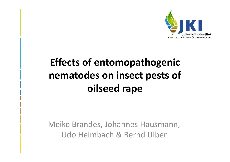

## **Effects of entomopathogenic nematodes on insect pests of oilseed rape**

Meike Brandes, Johannes Hausmann, Udo Heimbach & Bernd Ulber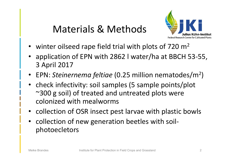### Materials & Methods



- winter oilseed rape field trial with plots of 720 m<sup>2</sup>
- application of EPN with 2862 l water/ha at BBCH 53‐55, 3 April 2017
- EPN: *Steinernema feltiae* (0.25 million nematodes/m 2 )
- check infectivity: soil samples (5 sample points/plot ~300 g soil) of treated and untreated plots were colonized with mealworms
- collection of OSR insect pest larvae with plastic bowls
- collection of new generation beetles with soilphotoecletors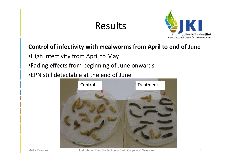

#### **Control of infectivity with mealworms from April to end of June**

- •High infectivity from April to May
- •Fading effects from beginning of June onwards
- •EPN still detectable at the end of June

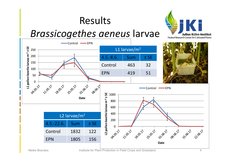### *Brassicogethes aeneus* larvae



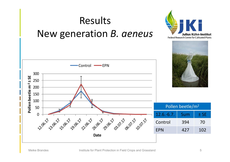![](_page_4_Figure_0.jpeg)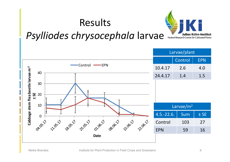![](_page_5_Picture_1.jpeg)

### *Psylliodes chrysocephala* larvae

![](_page_5_Figure_3.jpeg)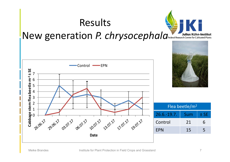![](_page_6_Figure_0.jpeg)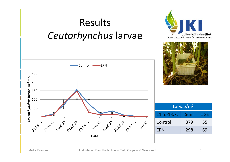![](_page_7_Figure_0.jpeg)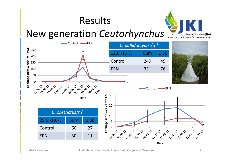![](_page_8_Picture_1.jpeg)

### New generation *Ceutorhynchus*

![](_page_8_Figure_3.jpeg)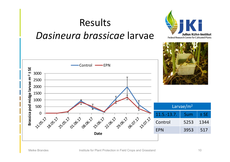![](_page_9_Figure_0.jpeg)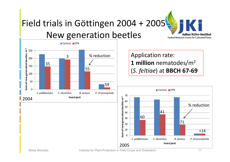![](_page_10_Picture_0.jpeg)

![](_page_10_Figure_1.jpeg)

Application rate: **1 million** nematodes/m2 (*S. feltiae*) at **BBCH 67‐69** 

![](_page_10_Figure_3.jpeg)

Meike Brandes **Institute for Plant Protection in Field Crops and Grassland** 11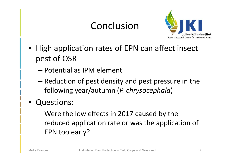### Conclusion

![](_page_11_Picture_1.jpeg)

- • High application rates of EPN can affect insect pest of OSR
	- Potential as IPM element
	- –– Reduction of pest density and pest pressure in the following year/autumn (*P. chrysocephala*)
- • Questions:
	- – Were the low effects in 2017 caused by the reduced application rate or was the application of EPN too early?